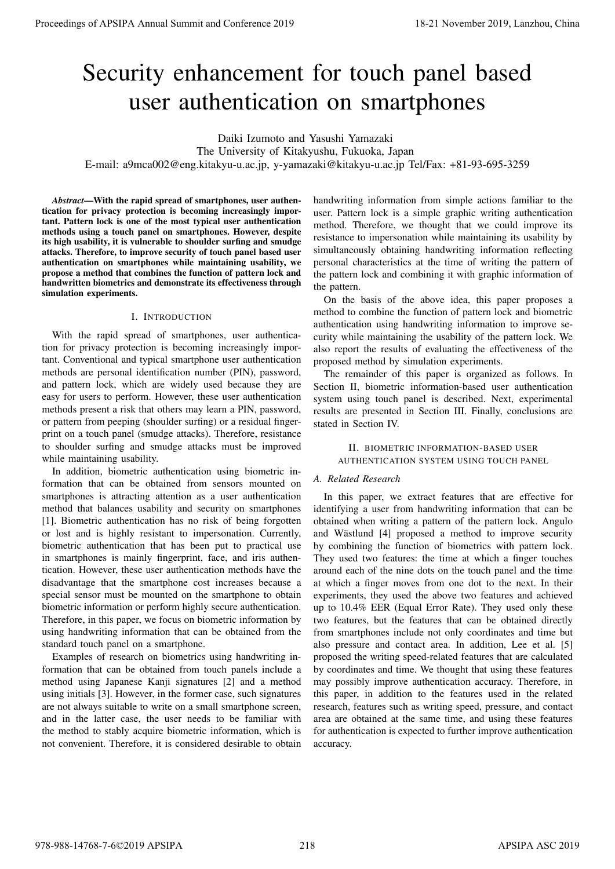# Security enhancement for touch panel based user authentication on smartphones

Daiki Izumoto and Yasushi Yamazaki

The University of Kitakyushu, Fukuoka, Japan

E-mail: a9mca002@eng.kitakyu-u.ac.jp, y-yamazaki@kitakyu-u.ac.jp Tel/Fax: +81-93-695-3259

*Abstract*—With the rapid spread of smartphones, user authentication for privacy protection is becoming increasingly important. Pattern lock is one of the most typical user authentication methods using a touch panel on smartphones. However, despite its high usability, it is vulnerable to shoulder surfing and smudge attacks. Therefore, to improve security of touch panel based user authentication on smartphones while maintaining usability, we propose a method that combines the function of pattern lock and handwritten biometrics and demonstrate its effectiveness through simulation experiments.

# I. INTRODUCTION

With the rapid spread of smartphones, user authentication for privacy protection is becoming increasingly important. Conventional and typical smartphone user authentication methods are personal identification number (PIN), password, and pattern lock, which are widely used because they are easy for users to perform. However, these user authentication methods present a risk that others may learn a PIN, password, or pattern from peeping (shoulder surfing) or a residual fingerprint on a touch panel (smudge attacks). Therefore, resistance to shoulder surfing and smudge attacks must be improved while maintaining usability.

In addition, biometric authentication using biometric information that can be obtained from sensors mounted on smartphones is attracting attention as a user authentication method that balances usability and security on smartphones [1]. Biometric authentication has no risk of being forgotten or lost and is highly resistant to impersonation. Currently, biometric authentication that has been put to practical use in smartphones is mainly fingerprint, face, and iris authentication. However, these user authentication methods have the disadvantage that the smartphone cost increases because a special sensor must be mounted on the smartphone to obtain biometric information or perform highly secure authentication. Therefore, in this paper, we focus on biometric information by using handwriting information that can be obtained from the standard touch panel on a smartphone.

Examples of research on biometrics using handwriting information that can be obtained from touch panels include a method using Japanese Kanji signatures [2] and a method using initials [3]. However, in the former case, such signatures are not always suitable to write on a small smartphone screen, and in the latter case, the user needs to be familiar with the method to stably acquire biometric information, which is not convenient. Therefore, it is considered desirable to obtain

handwriting information from simple actions familiar to the user. Pattern lock is a simple graphic writing authentication method. Therefore, we thought that we could improve its resistance to impersonation while maintaining its usability by simultaneously obtaining handwriting information reflecting personal characteristics at the time of writing the pattern of the pattern lock and combining it with graphic information of the pattern.

On the basis of the above idea, this paper proposes a method to combine the function of pattern lock and biometric authentication using handwriting information to improve security while maintaining the usability of the pattern lock. We also report the results of evaluating the effectiveness of the proposed method by simulation experiments.

The remainder of this paper is organized as follows. In Section II, biometric information-based user authentication system using touch panel is described. Next, experimental results are presented in Section III. Finally, conclusions are stated in Section IV.

# II. BIOMETRIC INFORMATION-BASED USER AUTHENTICATION SYSTEM USING TOUCH PANEL

# *A. Related Research*

In this paper, we extract features that are effective for identifying a user from handwriting information that can be obtained when writing a pattern of the pattern lock. Angulo and Wästlund [4] proposed a method to improve security by combining the function of biometrics with pattern lock. They used two features: the time at which a finger touches around each of the nine dots on the touch panel and the time at which a finger moves from one dot to the next. In their experiments, they used the above two features and achieved up to 10.4% EER (Equal Error Rate). They used only these two features, but the features that can be obtained directly from smartphones include not only coordinates and time but also pressure and contact area. In addition, Lee et al. [5] proposed the writing speed-related features that are calculated by coordinates and time. We thought that using these features may possibly improve authentication accuracy. Therefore, in this paper, in addition to the features used in the related research, features such as writing speed, pressure, and contact area are obtained at the same time, and using these features for authentication is expected to further improve authentication accuracy. **Proceedings of APSIPA Annual Summit and Conference 2019**<br>
Security enhancement for touch panel and Conference 2019<br>
The intermediation of Summit and Conference 2019<br>
The intermediation of Summit and Conference 2019<br>
The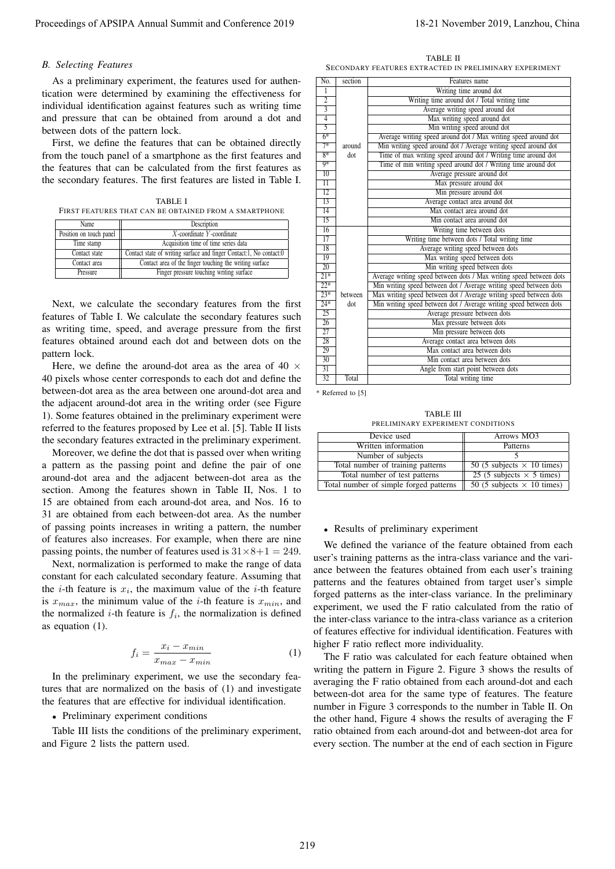#### *B. Selecting Features*

TABLE I FIRST FEATURES THAT CAN BE OBTAINED FROM A SMARTPHONE

| Name                                                                                 | Description                                             |  |  |
|--------------------------------------------------------------------------------------|---------------------------------------------------------|--|--|
| Position on touch panel                                                              | $X$ -coordinate Y-coordinate                            |  |  |
| Time stamp                                                                           | Acquisition time of time series data                    |  |  |
| Contact state of writing surface and finger Contact:1, No contact:0<br>Contact state |                                                         |  |  |
| Contact area                                                                         | Contact area of the finger touching the writing surface |  |  |
| Pressure                                                                             | Finger pressure touching writing surface                |  |  |

$$
f_i = \frac{x_i - x_{min}}{x_{max} - x_{min}}\tag{1}
$$

# *•* Preliminary experiment conditions

TABLE II SECONDARY FEATURES EXTRACTED IN PRELIMINARY EXPERIMENT

| Proceedings of APSIPA Annual Summit and Conference 2019                              |                                           |                         |                                                                    | 18-21 November 2019, Lanzhou, China                                                                                                      |
|--------------------------------------------------------------------------------------|-------------------------------------------|-------------------------|--------------------------------------------------------------------|------------------------------------------------------------------------------------------------------------------------------------------|
| <b>B.</b> Selecting Features                                                         |                                           |                         | TABLE II<br>SECONDARY FEATURES EXTRACTED IN PRELIMINARY EXPERIMENT |                                                                                                                                          |
| As a preliminary experiment, the features used for authen-                           | No.                                       | section                 |                                                                    | Features name                                                                                                                            |
| tication were determined by examining the effectiveness for                          | 1                                         |                         |                                                                    | Writing time around dot                                                                                                                  |
| individual identification against features such as writing time                      | $\overline{2}$                            |                         |                                                                    | Writing time around dot / Total writing time                                                                                             |
| and pressure that can be obtained from around a dot and                              | $\overline{\mathbf{3}}$<br>$\overline{4}$ |                         |                                                                    | Average writing speed around dot<br>Max writing speed around dot                                                                         |
|                                                                                      | $\overline{5}$                            |                         |                                                                    | Min writing speed around dot                                                                                                             |
| between dots of the pattern lock.                                                    | $6*$                                      |                         |                                                                    | Average writing speed around dot / Max writing speed around dot                                                                          |
| First, we define the features that can be obtained directly                          | $7*$                                      | around                  |                                                                    | Min writing speed around dot / Average writing speed around dot                                                                          |
| from the touch panel of a smartphone as the first features and                       | $8*$<br>$9*$                              | dot                     |                                                                    | Time of max writing speed around dot / Writing time around dot<br>Time of min writing speed around dot / Writing time around dot         |
| the features that can be calculated from the first features as                       | $10^{-}$                                  |                         |                                                                    | Average pressure around dot                                                                                                              |
| the secondary features. The first features are listed in Table I.                    | 11                                        |                         |                                                                    | Max pressure around dot                                                                                                                  |
|                                                                                      | 12                                        |                         |                                                                    | Min pressure around dot                                                                                                                  |
| TABLE I<br>FIRST FEATURES THAT CAN BE OBTAINED FROM A SMARTPHONE                     | 13<br>14                                  |                         |                                                                    | Average contact area around dot<br>Max contact area around dot                                                                           |
| Name<br>Description                                                                  | 15                                        |                         |                                                                    | Min contact area around dot                                                                                                              |
| X-coordinate Y-coordinate<br>Position on touch panel                                 | 16                                        |                         |                                                                    | Writing time between dots                                                                                                                |
| Acquisition time of time series data<br>Time stamp                                   | 17<br>18                                  |                         |                                                                    | Writing time between dots / Total writing time                                                                                           |
| Contact state<br>Contact state of writing surface and finger Contact:1, No contact:0 | 19                                        |                         |                                                                    | Average writing speed between dots<br>Max writing speed between dots                                                                     |
| Contact area<br>Contact area of the finger touching the writing surface              | 20                                        |                         |                                                                    | Min writing speed between dots                                                                                                           |
| Finger pressure touching writing surface<br>Pressure                                 | $21*$                                     |                         |                                                                    | Average writing speed between dots / Max writing speed between dots                                                                      |
|                                                                                      | $22*$<br>$23*$                            | between                 |                                                                    | Min writing speed between dot / Average writing speed between dots<br>Max writing speed between dot / Average writing speed between dots |
| Next, we calculate the secondary features from the first                             | $24*$                                     | dot                     |                                                                    | Min writing speed between dot / Average writing speed between dots                                                                       |
| features of Table I. We calculate the secondary features such                        | 25                                        |                         |                                                                    | Average pressure between dots                                                                                                            |
| as writing time, speed, and average pressure from the first                          | 26                                        |                         |                                                                    | Max pressure between dots                                                                                                                |
| features obtained around each dot and between dots on the                            | 27<br>28                                  |                         |                                                                    | Min pressure between dots<br>Average contact area between dots                                                                           |
| pattern lock.                                                                        | 29                                        |                         |                                                                    | Max contact area between dots                                                                                                            |
| Here, we define the around-dot area as the area of 40 $\times$                       | 30                                        |                         |                                                                    | Min contact area between dots                                                                                                            |
|                                                                                      | 31<br>32                                  | Total                   |                                                                    | Angle from start point between dots                                                                                                      |
| 40 pixels whose center corresponds to each dot and define the                        |                                           |                         |                                                                    | Total writing time                                                                                                                       |
| between-dot area as the area between one around-dot area and                         |                                           | * Referred to [5]       |                                                                    |                                                                                                                                          |
| the adjacent around-dot area in the writing order (see Figure                        |                                           |                         | TABLE III                                                          |                                                                                                                                          |
| 1). Some features obtained in the preliminary experiment were                        |                                           |                         | PRELIMINARY EXPERIMENT CONDITIONS                                  |                                                                                                                                          |
| referred to the features proposed by Lee et al. [5]. Table II lists                  |                                           |                         | Device used                                                        | Arrows MO3                                                                                                                               |
| the secondary features extracted in the preliminary experiment.                      | Written information<br>Patterns           |                         |                                                                    |                                                                                                                                          |
| Moreover, we define the dot that is passed over when writing                         |                                           | Number of subjects<br>5 |                                                                    |                                                                                                                                          |
| a pattern as the passing point and define the pair of one                            |                                           |                         | Total number of training patterns                                  | 50 (5 subjects $\times$ 10 times)                                                                                                        |
| around-dot area and the adjacent between-dot area as the                             |                                           |                         | Total number of test patterns                                      | 25 (5 subjects $\times$ 5 times)                                                                                                         |
| section. Among the features shown in Table II, Nos. 1 to                             |                                           |                         | Total number of simple forged patterns                             | 50 (5 subjects $\times$ 10 times)                                                                                                        |
| 15 are obtained from each around-dot area, and Nos. 16 to                            |                                           |                         |                                                                    |                                                                                                                                          |
| 31 are obtained from each between-dot area. As the number                            |                                           |                         |                                                                    |                                                                                                                                          |
| of passing points increases in writing a pattern, the number                         |                                           |                         | • Results of preliminary experiment                                |                                                                                                                                          |
| of features also increases. For example, when there are nine                         |                                           |                         |                                                                    | We defined the variance of the feature obtained from each                                                                                |
| passing points, the number of features used is $31 \times 8 + 1 = 249$ .             |                                           |                         |                                                                    | user's training patterns as the intra-class variance and the vari-                                                                       |
| Next, normalization is performed to make the range of data                           |                                           |                         |                                                                    |                                                                                                                                          |
| constant for each calculated secondary feature. Assuming that                        |                                           |                         |                                                                    | ance between the features obtained from each user's training                                                                             |
| the <i>i</i> -th feature is $x_i$ , the maximum value of the <i>i</i> -th feature    |                                           |                         |                                                                    | patterns and the features obtained from target user's simple                                                                             |
| is $x_{max}$ , the minimum value of the <i>i</i> -th feature is $x_{min}$ , and      |                                           |                         |                                                                    | forged patterns as the inter-class variance. In the preliminary                                                                          |
| the normalized <i>i</i> -th feature is $f_i$ , the normalization is defined          |                                           |                         |                                                                    | experiment, we used the F ratio calculated from the ratio of                                                                             |
| as equation $(1)$ .                                                                  |                                           |                         |                                                                    | the inter-class variance to the intra-class variance as a criterion                                                                      |
|                                                                                      |                                           |                         |                                                                    | of features effective for individual identification. Features with                                                                       |
|                                                                                      |                                           |                         | higher F ratio reflect more individuality.                         |                                                                                                                                          |
| $f_i = \frac{x_i - x_{min}}{x_{max} - x_{min}}$<br>(1)                               |                                           |                         |                                                                    | The F ratio was calculated for each feature obtained when                                                                                |
|                                                                                      |                                           |                         |                                                                    | writing the pattern in Figure 2. Figure 3 shows the results of                                                                           |
| In the preliminary experiment, we use the secondary fea-                             |                                           |                         |                                                                    | averaging the F ratio obtained from each around-dot and each                                                                             |
| tures that are normalized on the basis of (1) and investigate                        |                                           |                         |                                                                    | between-dot area for the same type of features. The feature                                                                              |
| the features that are effective for individual identification.                       |                                           |                         |                                                                    | number in Figure 3 corresponds to the number in Table II. On                                                                             |
| • Preliminary experiment conditions                                                  |                                           |                         |                                                                    | the other hand, Figure 4 shows the results of averaging the F                                                                            |
| Table III lists the conditions of the preliminary experiment,                        |                                           |                         |                                                                    | ratio obtained from each around-dot and between-dot area for                                                                             |
| and Figure 2 lists the pattern used.                                                 |                                           |                         |                                                                    | every section. The number at the end of each section in Figure                                                                           |
|                                                                                      |                                           |                         |                                                                    |                                                                                                                                          |
|                                                                                      |                                           |                         |                                                                    |                                                                                                                                          |
|                                                                                      |                                           |                         |                                                                    |                                                                                                                                          |
|                                                                                      |                                           |                         |                                                                    |                                                                                                                                          |
|                                                                                      |                                           |                         |                                                                    |                                                                                                                                          |
|                                                                                      |                                           |                         |                                                                    |                                                                                                                                          |
|                                                                                      | 219                                       |                         |                                                                    |                                                                                                                                          |

TABLE III PRELIMINARY EXPERIMENT CONDITIONS

| Device used                            | Arrows MO3                        |
|----------------------------------------|-----------------------------------|
| Written information                    | Patterns                          |
| Number of subjects                     |                                   |
| Total number of training patterns      | 50 (5 subjects $\times$ 10 times) |
| Total number of test patterns          | 25 (5 subjects $\times$ 5 times)  |
| Total number of simple forged patterns | 50 (5 subjects $\times$ 10 times) |

## *•* Results of preliminary experiment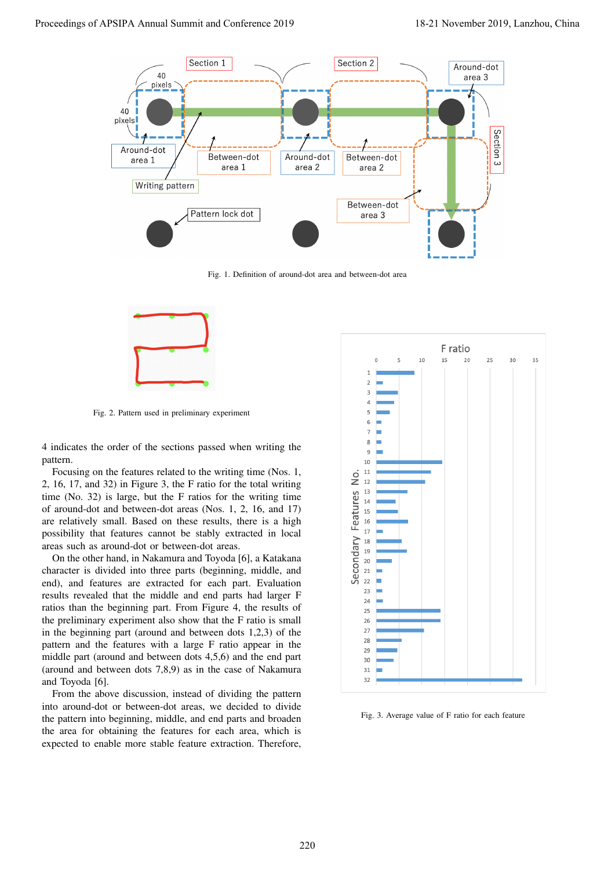

Fig. 1. Definition of around-dot area and between-dot area



Fig. 2. Pattern used in preliminary experiment

4 indicates the order of the sections passed when writing the pattern.

Focusing on the features related to the writing time (Nos. 1, 2, 16, 17, and 32) in Figure 3, the F ratio for the total writing time (No. 32) is large, but the F ratios for the writing time of around-dot and between-dot areas (Nos. 1, 2, 16, and 17) are relatively small. Based on these results, there is a high possibility that features cannot be stably extracted in local areas such as around-dot or between-dot areas.

On the other hand, in Nakamura and Toyoda [6], a Katakana character is divided into three parts (beginning, middle, and end), and features are extracted for each part. Evaluation results revealed that the middle and end parts had larger F ratios than the beginning part. From Figure 4, the results of the preliminary experiment also show that the F ratio is small in the beginning part (around and between dots 1,2,3) of the pattern and the features with a large F ratio appear in the middle part (around and between dots 4,5,6) and the end part (around and between dots 7,8,9) as in the case of Nakamura and Toyoda [6].

From the above discussion, instead of dividing the pattern into around-dot or between-dot areas, we decided to divide the pattern into beginning, middle, and end parts and broaden the area for obtaining the features for each area, which is expected to enable more stable feature extraction. Therefore,



Fig. 3. Average value of F ratio for each feature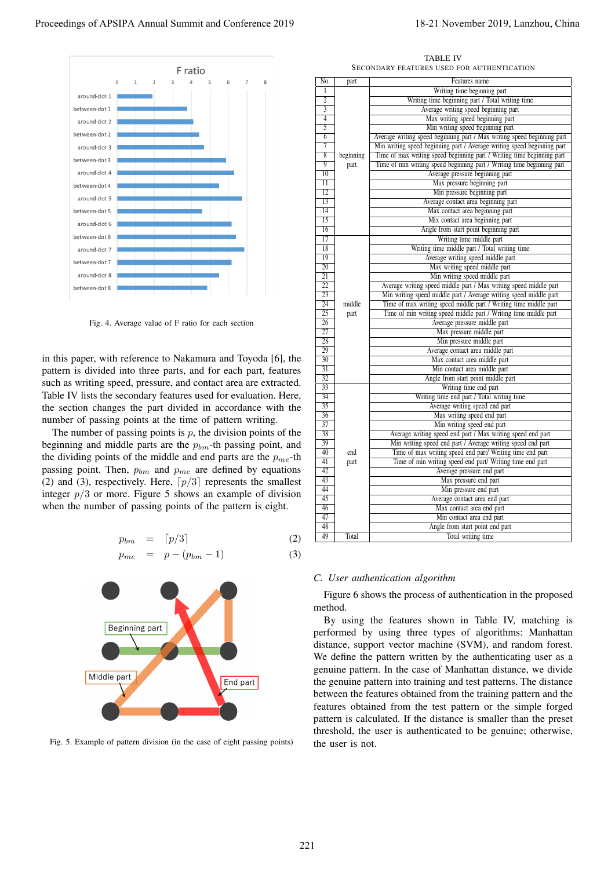

Fig. 4. Average value of F ratio for each section

$$
p_{bm} = \lceil p/3 \rceil \tag{2}
$$

$$
p_{me} = p - (p_{bm} - 1) \tag{3}
$$



Fig. 5. Example of pattern division (in the case of eight passing points)

TABLE IV SECONDARY FEATURES USED FOR AUTHENTICATION

|                                                                                  |                                    |                | <b>TABLE IV</b><br>SECONDARY FEATURES USED FOR AUTHENTICATION                                                                                                                                                                                                                                                                                                                                                                                                                                                                                                                                                                                                                                                                                                      |
|----------------------------------------------------------------------------------|------------------------------------|----------------|--------------------------------------------------------------------------------------------------------------------------------------------------------------------------------------------------------------------------------------------------------------------------------------------------------------------------------------------------------------------------------------------------------------------------------------------------------------------------------------------------------------------------------------------------------------------------------------------------------------------------------------------------------------------------------------------------------------------------------------------------------------------|
| F ratio<br>$\Omega$<br>8                                                         | No.                                | part           | Features name                                                                                                                                                                                                                                                                                                                                                                                                                                                                                                                                                                                                                                                                                                                                                      |
|                                                                                  | 1                                  |                | Writing time beginning part                                                                                                                                                                                                                                                                                                                                                                                                                                                                                                                                                                                                                                                                                                                                        |
| around-dot 1                                                                     | $\overline{2}$                     |                | Writing time beginning part / Total writing time                                                                                                                                                                                                                                                                                                                                                                                                                                                                                                                                                                                                                                                                                                                   |
| between-dot 1                                                                    |                                    |                | Average writing speed beginning part                                                                                                                                                                                                                                                                                                                                                                                                                                                                                                                                                                                                                                                                                                                               |
| aro und-dot 2                                                                    | $\overline{4}$<br>5                |                | Max writing speed beginning part<br>Min writing speed beginning part                                                                                                                                                                                                                                                                                                                                                                                                                                                                                                                                                                                                                                                                                               |
| between-dot 2                                                                    | 6                                  |                | Average writing speed beginning part / Max writing speed beginning part                                                                                                                                                                                                                                                                                                                                                                                                                                                                                                                                                                                                                                                                                            |
| around-dot 3                                                                     | 7                                  |                | Min writing speed beginning part / Average writing speed beginning part                                                                                                                                                                                                                                                                                                                                                                                                                                                                                                                                                                                                                                                                                            |
| between-dot 3                                                                    | 8                                  | beginning      | Time of max writing speed beginning part / Writing time beginning part                                                                                                                                                                                                                                                                                                                                                                                                                                                                                                                                                                                                                                                                                             |
| aro und-dot 4                                                                    | $\overline{9}$<br>$\overline{10}$  | part           | Time of min writing speed beginning part / Writing time beginning part<br>Average pressure beginning part                                                                                                                                                                                                                                                                                                                                                                                                                                                                                                                                                                                                                                                          |
| between-dot 4                                                                    | $\overline{\rm{11}}$               |                | Max pressure beginning part                                                                                                                                                                                                                                                                                                                                                                                                                                                                                                                                                                                                                                                                                                                                        |
| around-dot 5                                                                     | 12                                 |                | Min pressure beginning part                                                                                                                                                                                                                                                                                                                                                                                                                                                                                                                                                                                                                                                                                                                                        |
|                                                                                  | $\overline{13}$<br>$\overline{14}$ |                | Average contact area beginning part                                                                                                                                                                                                                                                                                                                                                                                                                                                                                                                                                                                                                                                                                                                                |
| between-dot5                                                                     | $\overline{15}$                    |                | Max contact area beginning part<br>Mix contact area beginning part                                                                                                                                                                                                                                                                                                                                                                                                                                                                                                                                                                                                                                                                                                 |
| aro und-dot 6                                                                    | 16                                 |                | Angle from start point beginning part                                                                                                                                                                                                                                                                                                                                                                                                                                                                                                                                                                                                                                                                                                                              |
| between-dot 6                                                                    | 17                                 |                | Writing time middle part                                                                                                                                                                                                                                                                                                                                                                                                                                                                                                                                                                                                                                                                                                                                           |
| around-dot 7                                                                     | 18                                 |                | Writing time middle part / Total writing time                                                                                                                                                                                                                                                                                                                                                                                                                                                                                                                                                                                                                                                                                                                      |
| between-dot 7                                                                    | 19<br>20                           |                | Average writing speed middle part<br>Max writing speed middle part                                                                                                                                                                                                                                                                                                                                                                                                                                                                                                                                                                                                                                                                                                 |
| aro und-dot 8                                                                    | 21                                 |                | Min writing speed middle part                                                                                                                                                                                                                                                                                                                                                                                                                                                                                                                                                                                                                                                                                                                                      |
| between-dot 8                                                                    | 22                                 |                | Average writing speed middle part / Max writing speed middle part                                                                                                                                                                                                                                                                                                                                                                                                                                                                                                                                                                                                                                                                                                  |
|                                                                                  | $\overline{23}$                    |                | Min writing speed middle part / Average writing speed middle part                                                                                                                                                                                                                                                                                                                                                                                                                                                                                                                                                                                                                                                                                                  |
|                                                                                  | $\overline{24}$<br>25              | middle<br>part | Time of max writing speed middle part / Writing time middle part<br>Time of min writing speed middle part / Writing time middle part                                                                                                                                                                                                                                                                                                                                                                                                                                                                                                                                                                                                                               |
| Fig. 4. Average value of F ratio for each section                                | $\overline{26}$                    |                | Average pressure middle part                                                                                                                                                                                                                                                                                                                                                                                                                                                                                                                                                                                                                                                                                                                                       |
|                                                                                  | 27                                 |                | Max pressure middle part                                                                                                                                                                                                                                                                                                                                                                                                                                                                                                                                                                                                                                                                                                                                           |
|                                                                                  | $\overline{28}$                    |                | Min pressure middle part                                                                                                                                                                                                                                                                                                                                                                                                                                                                                                                                                                                                                                                                                                                                           |
| in this paper, with reference to Nakamura and Toyoda [6], the                    | $\overline{29}$<br>30              |                | Average contact area middle part<br>Max contact area middle part                                                                                                                                                                                                                                                                                                                                                                                                                                                                                                                                                                                                                                                                                                   |
| pattern is divided into three parts, and for each part, features                 | 31                                 |                | Min contact area middle part                                                                                                                                                                                                                                                                                                                                                                                                                                                                                                                                                                                                                                                                                                                                       |
| such as writing speed, pressure, and contact area are extracted.                 | 32                                 |                | Angle from start point middle part                                                                                                                                                                                                                                                                                                                                                                                                                                                                                                                                                                                                                                                                                                                                 |
| Table IV lists the secondary features used for evaluation. Here,                 | 33                                 |                | Writing time end part                                                                                                                                                                                                                                                                                                                                                                                                                                                                                                                                                                                                                                                                                                                                              |
| the section changes the part divided in accordance with the                      | 34<br>35                           |                | Writing time end part / Total writing time<br>Average writing speed end part                                                                                                                                                                                                                                                                                                                                                                                                                                                                                                                                                                                                                                                                                       |
|                                                                                  | $\overline{36}$                    |                | Max writing speed end part                                                                                                                                                                                                                                                                                                                                                                                                                                                                                                                                                                                                                                                                                                                                         |
| number of passing points at the time of pattern writing.                         | $\overline{37}$                    |                | Min writing speed end part                                                                                                                                                                                                                                                                                                                                                                                                                                                                                                                                                                                                                                                                                                                                         |
| The number of passing points is $p$ , the division points of the                 | $\overline{38}$<br>$\overline{39}$ |                | Average writing speed end part / Max writing speed end part<br>Min writing speed end part / Average writing speed end part                                                                                                                                                                                                                                                                                                                                                                                                                                                                                                                                                                                                                                         |
| beginning and middle parts are the $p_{bm}$ -th passing point, and               | 40                                 | end            | Time of max writing speed end part/ Writing time end part                                                                                                                                                                                                                                                                                                                                                                                                                                                                                                                                                                                                                                                                                                          |
| the dividing points of the middle and end parts are the $p_{me}$ -th             | 41                                 | part           | Time of min writing speed end part/ Writing time end part                                                                                                                                                                                                                                                                                                                                                                                                                                                                                                                                                                                                                                                                                                          |
| passing point. Then, $p_{bm}$ and $p_{me}$ are defined by equations              | 42                                 |                | Average pressure end part                                                                                                                                                                                                                                                                                                                                                                                                                                                                                                                                                                                                                                                                                                                                          |
| (2) and (3), respectively. Here, $\lceil p/3 \rceil$ represents the smallest     | 43<br>44                           |                | Max pressure end part<br>Min pressure end part                                                                                                                                                                                                                                                                                                                                                                                                                                                                                                                                                                                                                                                                                                                     |
| integer $p/3$ or more. Figure 5 shows an example of division                     | 45                                 |                | Average contact area end part                                                                                                                                                                                                                                                                                                                                                                                                                                                                                                                                                                                                                                                                                                                                      |
| when the number of passing points of the pattern is eight.                       | 46                                 |                | Max contact area end part                                                                                                                                                                                                                                                                                                                                                                                                                                                                                                                                                                                                                                                                                                                                          |
|                                                                                  | 47<br>48                           |                | Min contact area end part                                                                                                                                                                                                                                                                                                                                                                                                                                                                                                                                                                                                                                                                                                                                          |
|                                                                                  | 49                                 | Total          | Angle from start point end part<br>Total writing time                                                                                                                                                                                                                                                                                                                                                                                                                                                                                                                                                                                                                                                                                                              |
| $=$ $\lceil p/3 \rceil$<br>(2)<br>$p_{bm}$<br>$p_{me} = p - (p_{bm} - 1)$<br>(3) |                                    |                |                                                                                                                                                                                                                                                                                                                                                                                                                                                                                                                                                                                                                                                                                                                                                                    |
| Beginning part<br>Middle part<br>End part                                        | method.                            |                | C. User authentication algorithm<br>Figure 6 shows the process of authentication in the proposed<br>By using the features shown in Table IV, matching is<br>performed by using three types of algorithms: Manhattan<br>distance, support vector machine (SVM), and random forest.<br>We define the pattern written by the authenticating user as a<br>genuine pattern. In the case of Manhattan distance, we divide<br>the genuine pattern into training and test patterns. The distance<br>between the features obtained from the training pattern and the<br>features obtained from the test pattern or the simple forged<br>pattern is calculated. If the distance is smaller than the preset<br>threshold, the user is authenticated to be genuine; otherwise, |

#### *C. User authentication algorithm*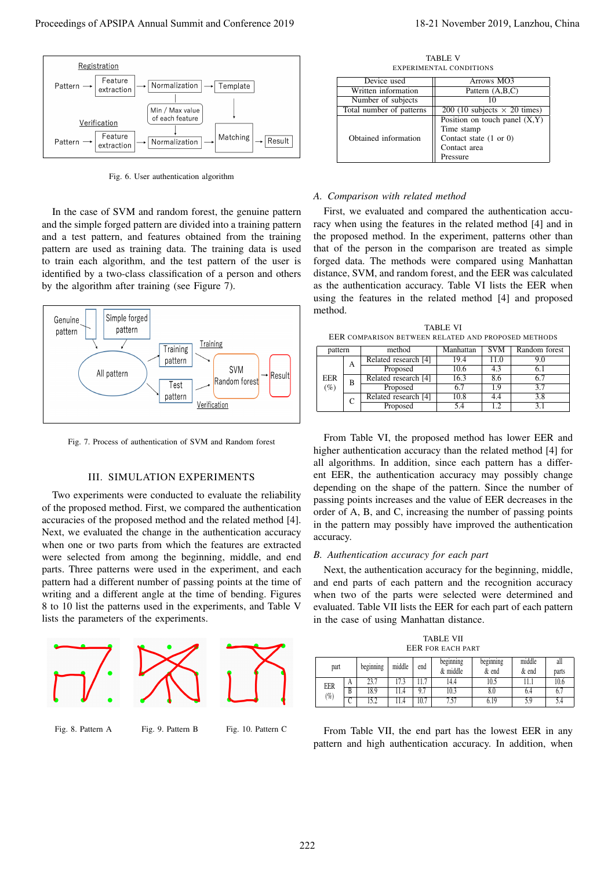

Fig. 6. User authentication algorithm

In the case of SVM and random forest, the genuine pattern and the simple forged pattern are divided into a training pattern and a test pattern, and features obtained from the training pattern are used as training data. The training data is used to train each algorithm, and the test pattern of the user is identified by a two-class classification of a person and others by the algorithm after training (see Figure 7).



Fig. 7. Process of authentication of SVM and Random forest

## III. SIMULATION EXPERIMENTS

Two experiments were conducted to evaluate the reliability of the proposed method. First, we compared the authentication accuracies of the proposed method and the related method [4]. Next, we evaluated the change in the authentication accuracy when one or two parts from which the features are extracted were selected from among the beginning, middle, and end parts. Three patterns were used in the experiment, and each pattern had a different number of passing points at the time of writing and a different angle at the time of bending. Figures 8 to 10 list the patterns used in the experiments, and Table V lists the parameters of the experiments.



TABLE V EXPERIMENTAL CONDITIONS

| Device used              | Arrows MO3                          |  |  |
|--------------------------|-------------------------------------|--|--|
| Written information      | Pattern (A,B,C)                     |  |  |
| Number of subjects       |                                     |  |  |
| Total number of patterns | 200 (10 subjects $\times$ 20 times) |  |  |
|                          | Position on touch panel $(X, Y)$    |  |  |
|                          | Time stamp                          |  |  |
| Obtained information     | Contact state $(1 or 0)$            |  |  |
|                          | Contact area                        |  |  |
|                          | Pressure                            |  |  |

#### *A. Comparison with related method*

First, we evaluated and compared the authentication accuracy when using the features in the related method [4] and in the proposed method. In the experiment, patterns other than that of the person in the comparison are treated as simple forged data. The methods were compared using Manhattan distance, SVM, and random forest, and the EER was calculated as the authentication accuracy. Table VI lists the EER when using the features in the related method [4] and proposed method.

TABLE VI EER COMPARISON BETWEEN RELATED AND PROPOSED METHODS

| pattern            |   | method               | Manhattan | <b>SVM</b> | Random forest |  |
|--------------------|---|----------------------|-----------|------------|---------------|--|
| EER<br>В<br>$(\%)$ | A | Related research [4] | 19.4      | 11.0       | 9.0           |  |
|                    |   | Proposed             | 10.6      | 4.3        |               |  |
|                    |   | Related research [4] | 16.3      | 8.6        | 6.7           |  |
|                    |   | Proposed             | 67        | 19         | 3.7           |  |
|                    |   | Related research [4] | 10.8      | 4.4        | 3.8           |  |
|                    |   | Proposed             | 5.4       |            |               |  |

From Table VI, the proposed method has lower EER and higher authentication accuracy than the related method [4] for all algorithms. In addition, since each pattern has a different EER, the authentication accuracy may possibly change depending on the shape of the pattern. Since the number of passing points increases and the value of EER decreases in the order of A, B, and C, increasing the number of passing points in the pattern may possibly have improved the authentication accuracy.

#### *B. Authentication accuracy for each part*

Next, the authentication accuracy for the beginning, middle, and end parts of each pattern and the recognition accuracy when two of the parts were selected were determined and evaluated. Table VII lists the EER for each part of each pattern in the case of using Manhattan distance.

TABLE VII EER FOR EACH PART part beginning middle end beginning & middle beginning & end middle & end all parts EER  $(% )$ A 23.7 | 17.3 | 11.7 | 14.4 | 10.5 | 11.1 | 10.6  $B$  18.9 11.4 9.7 10.3 1 8.0 6.4 6.7

From Table VII, the end part has the lowest EER in any pattern and high authentication accuracy. In addition, when

C | 15.2 | 11.4 | 10.7 | 7.57 | 6.19 | 5.9 | 5.4